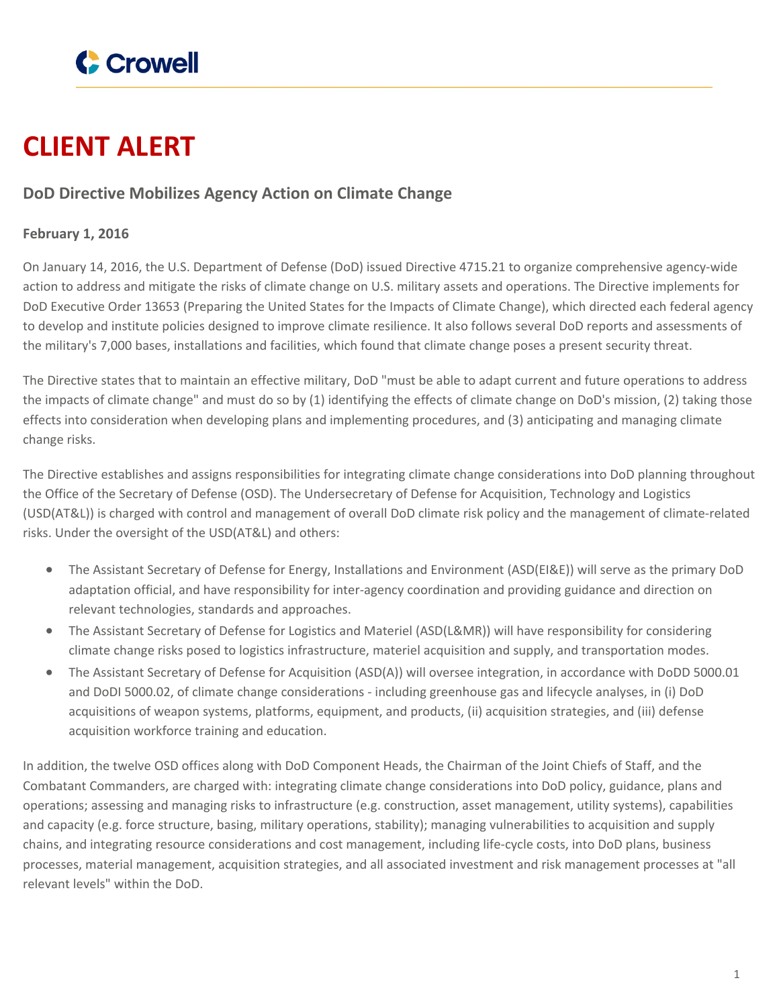

## **CLIENT ALERT**

## **DoD Directive Mobilizes Agency Action on Climate Change**

## **February 1, 2016**

On January 14, 2016, the U.S. Department of Defense (DoD) issued Directive 4715.21 to organize comprehensive agency-wide action to address and mitigate the risks of climate change on U.S. military assets and operations. The Directive implements for DoD Executive Order 13653 (Preparing the United States for the Impacts of Climate Change), which directed each federal agency to develop and institute policies designed to improve climate resilience. It also follows several DoD reports and assessments of the military's 7,000 bases, installations and facilities, which found that climate change poses a present security threat.

The Directive states that to maintain an effective military, DoD "must be able to adapt current and future operations to address the impacts of climate change" and must do so by (1) identifying the effects of climate change on DoD's mission, (2) taking those effects into consideration when developing plans and implementing procedures, and (3) anticipating and managing climate change risks.

The Directive establishes and assigns responsibilities for integrating climate change considerations into DoD planning throughout the Office of the Secretary of Defense (OSD). The Undersecretary of Defense for Acquisition, Technology and Logistics (USD(AT&L)) is charged with control and management of overall DoD climate risk policy and the management of climate-related risks. Under the oversight of the USD(AT&L) and others:

- The Assistant Secretary of Defense for Energy, Installations and Environment (ASD(EI&E)) will serve as the primary DoD adaptation official, and have responsibility for inter-agency coordination and providing guidance and direction on relevant technologies, standards and approaches.
- The Assistant Secretary of Defense for Logistics and Materiel (ASD(L&MR)) will have responsibility for considering climate change risks posed to logistics infrastructure, materiel acquisition and supply, and transportation modes.
- The Assistant Secretary of Defense for Acquisition (ASD(A)) will oversee integration, in accordance with DoDD 5000.01 and DoDI 5000.02, of climate change considerations - including greenhouse gas and lifecycle analyses, in (i) DoD acquisitions of weapon systems, platforms, equipment, and products, (ii) acquisition strategies, and (iii) defense acquisition workforce training and education.

In addition, the twelve OSD offices along with DoD Component Heads, the Chairman of the Joint Chiefs of Staff, and the Combatant Commanders, are charged with: integrating climate change considerations into DoD policy, guidance, plans and operations; assessing and managing risks to infrastructure (e.g. construction, asset management, utility systems), capabilities and capacity (e.g. force structure, basing, military operations, stability); managing vulnerabilities to acquisition and supply chains, and integrating resource considerations and cost management, including life-cycle costs, into DoD plans, business processes, material management, acquisition strategies, and all associated investment and risk management processes at "all relevant levels" within the DoD.